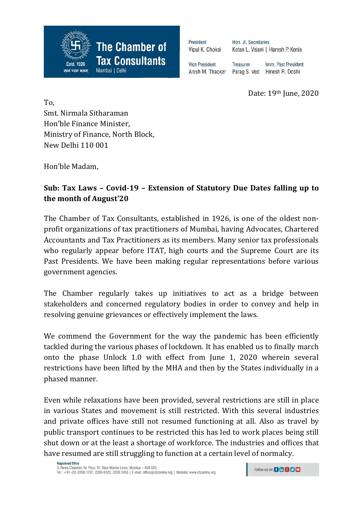

President Vipul K. Choksi

Hon. Jt. Secretaries Ketan L. Vajani | Haresh P. Kenia

**Vice President Treasurer** Imm. Past President Anish M. Thacker Parag S. Ved Hinesh R. Doshi

Date: 19th June, 2020

To, Smt. Nirmala Sitharaman Hon'ble Finance Minister, Ministry of Finance, North Block, New Delhi 110 001

Hon'ble Madam,

## **Sub: Tax Laws – Covid-19 – Extension of Statutory Due Dates falling up to the month of August'20**

The Chamber of Tax Consultants, established in 1926, is one of the oldest nonprofit organizations of tax practitioners of Mumbai, having Advocates, Chartered Accountants and Tax Practitioners as its members. Many senior tax professionals who regularly appear before ITAT, high courts and the Supreme Court are its Past Presidents. We have been making regular representations before various government agencies.

The Chamber regularly takes up initiatives to act as a bridge between stakeholders and concerned regulatory bodies in order to convey and help in resolving genuine grievances or effectively implement the laws.

We commend the Government for the way the pandemic has been efficiently tackled during the various phases of lockdown. It has enabled us to finally march onto the phase Unlock 1.0 with effect from June 1, 2020 wherein several restrictions have been lifted by the MHA and then by the States individually in a phased manner.

Even while relaxations have been provided, several restrictions are still in place in various States and movement is still restricted. With this several industries and private offices have still not resumed functioning at all. Also as travel by public transport continues to be restricted this has led to work places being still shut down or at the least a shortage of workforce. The industries and offices that have resumed are still struggling to function at a certain level of normalcy.

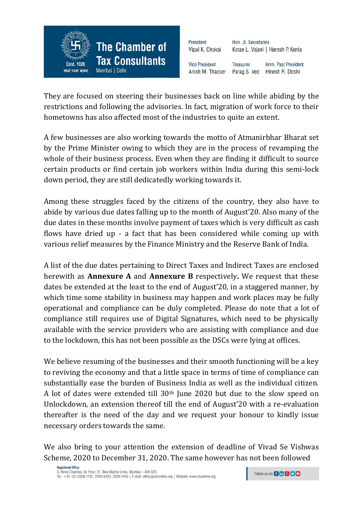

| President             | Hon. Jt. Secretaries              |                     |
|-----------------------|-----------------------------------|---------------------|
| Vipul K. Choksi       | Ketan L. Vajani   Haresh P. Kenia |                     |
| <b>Vice President</b> | Treasurer                         | Imm. Past President |
| Anish M. Thacker      | Parag S. Ved                      | Hinesh R. Doshi     |

They are focused on steering their businesses back on line while abiding by the restrictions and following the advisories. In fact, migration of work force to their hometowns has also affected most of the industries to quite an extent.

A few businesses are also working towards the motto of Atmanirbhar Bharat set by the Prime Minister owing to which they are in the process of revamping the whole of their business process. Even when they are finding it difficult to source certain products or find certain job workers within India during this semi-lock down period, they are still dedicatedly working towards it.

Among these struggles faced by the citizens of the country, they also have to abide by various due dates falling up to the month of August'20. Also many of the due dates in these months involve payment of taxes which is very difficult as cash flows have dried up - a fact that has been considered while coming up with various relief measures by the Finance Ministry and the Reserve Bank of India.

A list of the due dates pertaining to Direct Taxes and Indirect Taxes are enclosed herewith as **Annexure A** and **Annexure B** respectively**.** We request that these dates be extended at the least to the end of August'20, in a staggered manner, by which time some stability in business may happen and work places may be fully operational and compliance can be duly completed. Please do note that a lot of compliance still requires use of Digital Signatures, which need to be physically available with the service providers who are assisting with compliance and due to the lockdown, this has not been possible as the DSCs were lying at offices.

We believe resuming of the businesses and their smooth functioning will be a key to reviving the economy and that a little space in terms of time of compliance can substantially ease the burden of Business India as well as the individual citizen. A lot of dates were extended till 30th June 2020 but due to the slow speed on Unlockdown, an extension thereof till the end of August'20 with a re-evaluation thereafter is the need of the day and we request your honour to kindly issue necessary orders towards the same.

We also bring to your attention the extension of deadline of Vivad Se Vishwas Scheme, 2020 to December 31, 2020. The same however has not been followed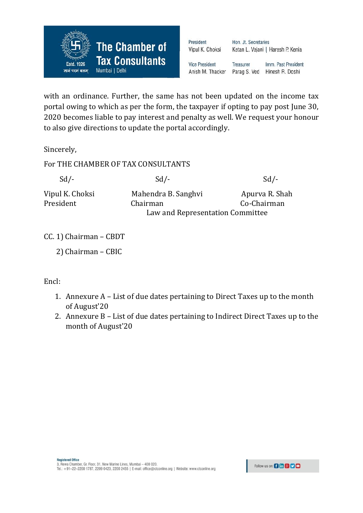

| President<br>Vipul K. Choksi | Hon. Jt. Secretaries | Ketan L. Vajani   Haresh P. Kenia |
|------------------------------|----------------------|-----------------------------------|
| <b>Vice President</b>        | <b>Treasurer</b>     | Imm. Past President               |
| Anish M. Thacker             | Parag S. Ved         | Hinesh R. Doshi                   |

with an ordinance. Further, the same has not been updated on the income tax portal owing to which as per the form, the taxpayer if opting to pay post June 30, 2020 becomes liable to pay interest and penalty as well. We request your honour to also give directions to update the portal accordingly.

Sincerely,

For THE CHAMBER OF TAX CONSULTANTS

| $Sd$ /-                      | $Sd$ /-                          | $Sd$ /-                       |
|------------------------------|----------------------------------|-------------------------------|
| Vipul K. Choksi<br>President | Mahendra B. Sanghyi<br>Chairman  | Apurva R. Shah<br>Co-Chairman |
|                              | Law and Representation Committee |                               |

CC. 1) Chairman – CBDT

Encl:

- 1. Annexure A List of due dates pertaining to Direct Taxes up to the month of August'20
- 2. Annexure B List of due dates pertaining to Indirect Direct Taxes up to the month of August'20

 <sup>2)</sup> Chairman – CBIC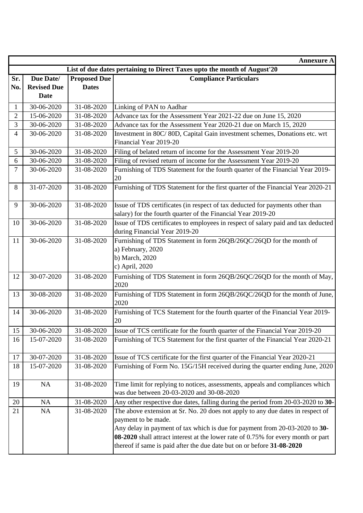|                |                                                                          |                     | <b>Annexure A</b>                                                                                                                                                                                                                                                                                                                                    |  |
|----------------|--------------------------------------------------------------------------|---------------------|------------------------------------------------------------------------------------------------------------------------------------------------------------------------------------------------------------------------------------------------------------------------------------------------------------------------------------------------------|--|
|                | List of due dates pertaining to Direct Taxes upto the month of August'20 |                     |                                                                                                                                                                                                                                                                                                                                                      |  |
| Sr.            | Due Date/                                                                | <b>Proposed Due</b> | <b>Compliance Particulars</b>                                                                                                                                                                                                                                                                                                                        |  |
| No.            | <b>Revised Due</b>                                                       | <b>Dates</b>        |                                                                                                                                                                                                                                                                                                                                                      |  |
|                | Date                                                                     |                     |                                                                                                                                                                                                                                                                                                                                                      |  |
| 1              | 30-06-2020                                                               | 31-08-2020          | Linking of PAN to Aadhar                                                                                                                                                                                                                                                                                                                             |  |
| $\overline{2}$ | 15-06-2020                                                               | 31-08-2020          | Advance tax for the Assessment Year 2021-22 due on June 15, 2020                                                                                                                                                                                                                                                                                     |  |
| 3              | 30-06-2020                                                               | 31-08-2020          | Advance tax for the Assessment Year 2020-21 due on March 15, 2020                                                                                                                                                                                                                                                                                    |  |
| $\overline{4}$ | 30-06-2020                                                               | 31-08-2020          | Investment in 80C/80D, Capital Gain investment schemes, Donations etc. wrt<br>Financial Year 2019-20                                                                                                                                                                                                                                                 |  |
|                | 30-06-2020                                                               | 31-08-2020          |                                                                                                                                                                                                                                                                                                                                                      |  |
| 5              | 30-06-2020                                                               | 31-08-2020          | Filing of belated return of income for the Assessment Year 2019-20                                                                                                                                                                                                                                                                                   |  |
| 6              |                                                                          |                     | Filing of revised return of income for the Assessment Year 2019-20                                                                                                                                                                                                                                                                                   |  |
| 7              | 30-06-2020                                                               | 31-08-2020          | Furnishing of TDS Statement for the fourth quarter of the Financial Year 2019-<br>20                                                                                                                                                                                                                                                                 |  |
| $\,8\,$        | 31-07-2020                                                               | 31-08-2020          | Furnishing of TDS Statement for the first quarter of the Financial Year 2020-21                                                                                                                                                                                                                                                                      |  |
| 9              | 30-06-2020                                                               | 31-08-2020          | Issue of TDS certificates (in respect of tax deducted for payments other than<br>salary) for the fourth quarter of the Financial Year 2019-20                                                                                                                                                                                                        |  |
| 10             | 30-06-2020                                                               | 31-08-2020          | Issue of TDS certificates to employees in respect of salary paid and tax deducted                                                                                                                                                                                                                                                                    |  |
|                |                                                                          |                     | during Financial Year 2019-20                                                                                                                                                                                                                                                                                                                        |  |
| 11             | 30-06-2020                                                               | 31-08-2020          | Furnishing of TDS Statement in form 26QB/26QC/26QD for the month of<br>a) February, 2020<br>b) March, 2020<br>c) April, 2020                                                                                                                                                                                                                         |  |
| 12             | 30-07-2020                                                               | 31-08-2020          | Furnishing of TDS Statement in form 26QB/26QC/26QD for the month of May,<br>2020                                                                                                                                                                                                                                                                     |  |
| 13             | 30-08-2020                                                               | 31-08-2020          | Furnishing of TDS Statement in form 26QB/26QC/26QD for the month of June,<br>2020                                                                                                                                                                                                                                                                    |  |
| 14             | 30-06-2020                                                               | 31-08-2020          | Furnishing of TCS Statement for the fourth quarter of the Financial Year 2019-<br>20                                                                                                                                                                                                                                                                 |  |
| $15$ ]         | 30-06-2020                                                               | 31-08-2020          | Issue of TCS certificate for the fourth quarter of the Financial Year 2019-20                                                                                                                                                                                                                                                                        |  |
| 16             | 15-07-2020                                                               | 31-08-2020          | Furnishing of TCS Statement for the first quarter of the Financial Year 2020-21                                                                                                                                                                                                                                                                      |  |
| 17             | 30-07-2020                                                               | 31-08-2020          | Issue of TCS certificate for the first quarter of the Financial Year 2020-21                                                                                                                                                                                                                                                                         |  |
| 18             | 15-07-2020                                                               | 31-08-2020          | Furnishing of Form No. 15G/15H received during the quarter ending June, 2020                                                                                                                                                                                                                                                                         |  |
| 19             | NA                                                                       | 31-08-2020          | Time limit for replying to notices, assessments, appeals and compliances which<br>was due between 20-03-2020 and 30-08-2020                                                                                                                                                                                                                          |  |
| 20             | NA                                                                       | 31-08-2020          | Any other respective due dates, falling during the period from 20-03-2020 to 30-                                                                                                                                                                                                                                                                     |  |
| 21             | NA                                                                       | 31-08-2020          | The above extension at Sr. No. 20 does not apply to any due dates in respect of<br>payment to be made.<br>Any delay in payment of tax which is due for payment from 20-03-2020 to 30-<br>08-2020 shall attract interest at the lower rate of 0.75% for every month or part<br>thereof if same is paid after the due date but on or before 31-08-2020 |  |